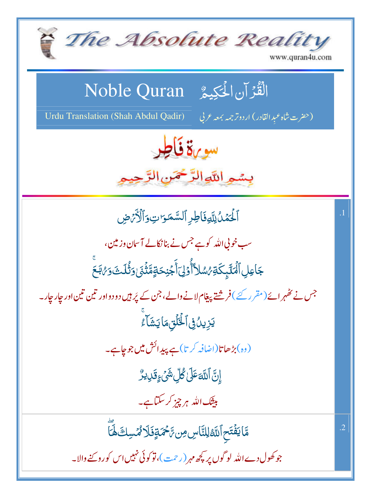The Absolute Reality www.quran4u.com  $\overline{\mathsf{S}}$ Noble Quran -   $\frac{1}{2}$  $\frac{1}{2}$ ر<br>د  $\tilde{\mathcal{L}}$  $\frac{1}{2}$ Urdu Translation (Shah Abdul Qadir) -(حفرت شاه عبدِالقادر) اردوتر جمه بمعه سورة ف<del>أط</del>ر بسمو اللَّهِ الرَّحْمَنِ الرَّحِيمِ لِلَّهِفَاطِرِ ٱلسَّمَ  $\frac{1}{2}$ ٱلۡۡمَٰٓدُٰلِلَّهِفَاطِرِ ٱلسَّمَوَاتِوَٱلۡأَرۡصِ لسَّمَ اً<br>ا  $\ddot{\ }$ نَگْمَلُ<br>نَگُمُلُ  $\tilde{J}$ **لل**<br>أ لمي<br>م سب خونی اللہ کو ہے جس نے بنانکالے آسان وزمین، -جَاعِلِ ٱلۡنَّآبِكَةِ ۗشلآَأُوۡلِٓ أَجۡنِحَةٍمَّةُ أَجْذِ ؘ<br>ؠؘڶ<sub>ڮ</sub>ػۊ أ ٕ ڮؘٵۼؚڸٲڷ*ٞٮٲڮٟ*ػۊ*؇ۺ*ڵٲٲۜٛۯٙڸؘٲ۠ڿڹؚڂۊؚڡؓؿ۬ۘۯؘ؈*ڎ۠*ڷٮؿؘۯ؇ڹ<del>ۜ</del>ۼ *ئىش*لاًأۇل<sub>ۇ</sub> ۡ ٓ #  $\tilde{ }$ ĺ جس نے تھہر ائے (مقرر کئے ) فر شتے پیغام لانے والے، جن کے پُر ہیں دو دواور ٹین ٹین اور جار جار۔ ؾؘزِينُ؋ۣٲڂ۠ؖڷؘۊؚؠڡؘٳؾۺؘٲۦ۠  $\tilde{\phantom{a}}$ ءَ<br>م (وہ)بڑھاتا(اضافہ کرتا)ہے پیدائش میں جوجاہے۔ ٳۣڽؖٞٲڷڷ*ٙ*ڡؘٷٙڸڴڵؚۺ*ؽ۫ۦٟ*ۊؘڔؠڒ۠  $\frac{1}{2}$ تَّ اللَّٰہَ ۡ <u>ل</u><br>ا :<br>-<br>- **بیثیک ا**للّٰہ ہر چیز کر سکتاہے۔ مَّا يَفۡتَحِ ٱللَّهُ لِلنَّاسِ مِن رَّحۡمَةٍ فَلَا مُّنسِكَ لَهَآ .2مَّا يَفَتَح آللَّا **:<br>:** ر<br>پ # ل<br>ا # ć جو کھول دے اللہ لو گوں پر پڑھ مہر (رحمت )، تو کوئی نہیں اس کورو تنے والا۔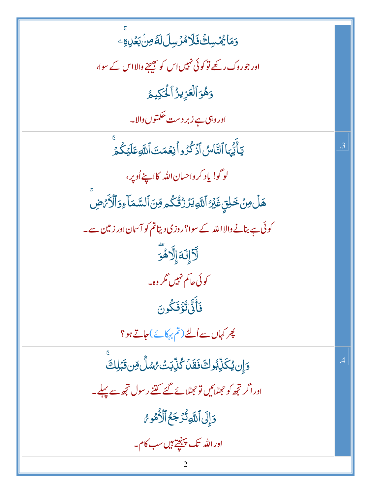5مَا يُهْسِكُ فَلَا مُرُسِلَ لَةُ مِنْ بَعُلِهِ -اور جوروک رکھے تو کوئی نہیں اس کو بھیجنے والااس کے سوا، وَهُوَ ٱلۡعَزِيزُ ٱلۡكِيمُ اور وہی ہے زبر دست حکمتوں والا۔ يٓٲٞؾ۠ؠٓٵٱڶڹؓٲ؈۠ٱۮٙػ۠ۯۅٱڹؚۼڡٙؾؘٱڷؘڷۅڡؘڶؽٙػۢ۠ۿٙۨ .3 لوگو! ياد کرواحسان الله کااپنے اُوپر، هَلْ مِنْ خَلِقٍ غَيْرُ ٱللَّهِ يَرْ رُقُّكُم مِّنَ ٱلسَّمَاءِوَٱلْأَمَّ ضِ کوئی ہے بنانے والا اللہ کے سوا؟روزی دیتاتم کو آسان اور زمین سے۔ لَّا إِلَهَ]لَّاهُوَ کوئی جا کم نہیں گروہ۔ فَأَذَّىٰٓلَٰٓؤُفَكُونَ پھر کہاں سے اُلٹے (تم بہکائے)جاتے ہو؟ وَإِن يُكَنِّبُوكَ فَقَدْ كُنِّبَتَ بُسُمَّلٌ مِّن قَبَلِكَ  $\overline{A}$ اور اگر تجھ کو جھٹلائیں تو جھٹلائے گئے گتنے رسول تجھ سے پہلے۔ وَإِلَى ٱللَّهِ تُزَجَعُ ٱلْأُمُوسُ اور الله تک پہنچتے ہیں سب کام۔  $\overline{2}$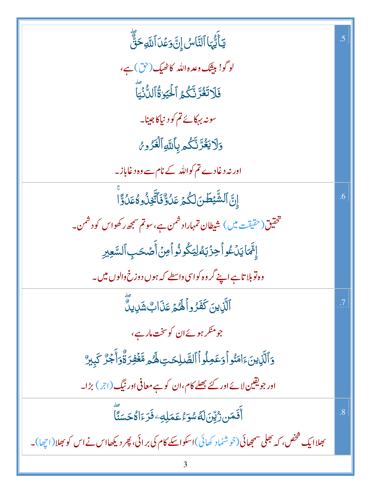| <b>يَأَيُّهَا ٱلنَّاسُ إِنَّ وَعُدَ ٱللَّهِ حَقٌّ</b>                                                | $\overline{.5}$ |
|------------------------------------------------------------------------------------------------------|-----------------|
| لوگو! بيثك وعده الله كاٹھيك (حق) ہے،                                                                 |                 |
| فَلَاتَغُرَّنَّكُمُ الْحُيَوٰةُ الدُّنِّيَا                                                          |                 |
| سونہ بہکائے تم کو دنیاکا جینا۔                                                                       |                 |
| <b>وَلَا يَغُرَّنَّكُم بِأَلَّلَهِ ٱلْغَزْوِنُ</b>                                                   |                 |
| اور نہ دغادے تم کواللہ کے نام سے وہ دغاباز۔                                                          |                 |
| ٳۣڹؖٳڵۺ۠ؖؽڟڹڶػؙؽٙؾؘ <i>ڶ</i> ؋ػٱؾ۫ۜڂۣڹؙٛۏٶ۠ۼؘڷۊؖٞٳ                                                   | .6              |
| تحقیق(حقیقت میں) شیطان تمہاراد شمن ہے،سوتم سمجھ رکھواس کو دشمن۔                                      |                 |
| ٳۥٚؖٞؠٓٵؾؚۨڷٷٳٲڿۯ۫ڹۿڶۣؾػٛۅۮ۠ۅٲڡؚڽؙٲؘٛڞٙڂٮٟٱڵڛٞؖۼێٳ                                                   |                 |
| وہ توبلا تاہے اپنے گر وہ کواسی واسطے کہ ہوں دوزخ والوں میں۔                                          |                 |
| ٱلَّذِينَ كَفَزُواۡلَٰهُمۡ عَذَابٌ شَرِيدٌ                                                           |                 |
| جومنگر ہوئےان کوسخت مارہے،                                                                           |                 |
| وَٱلَّٰٓنِينَءَامَنُواْوَعَمِلُواْٱلصَّلِحَتِ لَهُ مِمَّغۡفِرَةٌوَأَجۡرٌ كَبِيرٌ                     |                 |
| اور جویقین لائے اور کئے بھلے کام،ان کو ہے معافی اور نیگ (اجر) بڑا۔                                   |                 |
| ِ<br>أَفَمَن رُّيِّنَ لَهُ سُوَءُ عَمَلِهِ ۖ فَرَءَاهُ حَسَنًا                                       | $\overline{8}$  |
| بھلاا یک شخص، کہ بھلی سمجھائی(خو شنماد کھائی)اسکواسکے کام کی برائی، پھر دیکھااس نے اس کو بھلا(اچھا)۔ |                 |
|                                                                                                      |                 |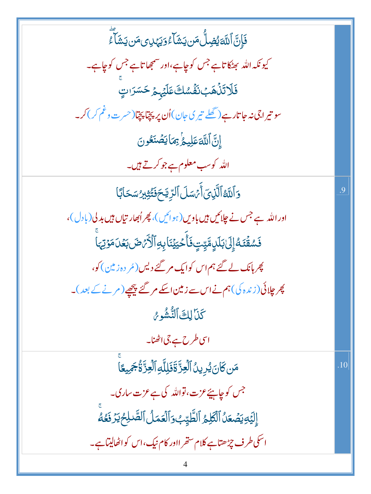| فَإِنَّ ٱللَّهَ يُضِلُّ مَن يَشَأَءُ وَيَهْدِى مَن يَشَأَءُ                       |     |
|-----------------------------------------------------------------------------------|-----|
| کیونکہ اللہ بھٹکاتاہے جس کوچاہے،اور سمجھاتاہے جس کوچاہے۔                          |     |
| فَلَاتَنَّهَبَ نَفَّسُكَ عَلَيْهِمْ حَسَرَاتٍ                                     |     |
| سو تیراجی نہ جا تارہے( گھلے تیر کی جان)اُن پر پچتا پچتا(حسرت وغم کر) کر۔          |     |
| إِنَّ ٱللَّهَ عَلِيمُ نِهَا يَصۡنَعُونَ                                           |     |
| اللہ کوس <b>ب معلوم ہے جوکرتے ہیں۔</b>                                            |     |
| وَٱللَّهُ ٱلَّذِىٓ أَمَّسَلَ ٱلرِّيَّحَ فَتُّثِيدُ سَحَابًا                       | .9  |
| اور اللہ ہے جس نے چلائیں ہیں باویں (ہوائیں)، پھر اُبھار تیاں ہیں بدلی (بادل)،     |     |
| فَسُقَّتَهُ إِلَىٰ بَلَلٍ مَّيِّتٍ فَأَحْيَيْنَا بِهِ ٱلْأَرَّصَ بَعُلَ مَوْتِهَا |     |
| چرہانک لے گئے ہم اس کوایک مر گئے دیس( <sub>مُر</sub> دہ زمین) <i>کو</i> ،         |     |
| پھر چلائی(زندہ کی)ہم نےاس سے زمین اسکے مرگئے پیچھے (مرنے کے بعد)۔                 |     |
| كَنَا لِكَ ٱلنُّشُورُ                                                             |     |
| اسی طرح ہے جی اٹھنا۔                                                              |     |
| مَن كَانَ يُرِينُ ٱلۡعِزَّ ةَذَلِلَّهِ ٱلۡعِزَّةُجَمِيعًا                         | .10 |
| جس کوچاہئے عزت، تواللہ کی ہے عزت ساری۔                                            |     |
| إِلَيْهِ يَصُعَلُ ٱلْكَلِمُ ٱلطَّيِّبُ وَٱلْعَمَلُ ٱلصَّلِحُ يَرَفَعُهُ           |     |
| اسکی طرف چڑھتاہے کلام ستھر ااور کام نیک،اس کواٹھالیتاہے۔                          |     |
|                                                                                   |     |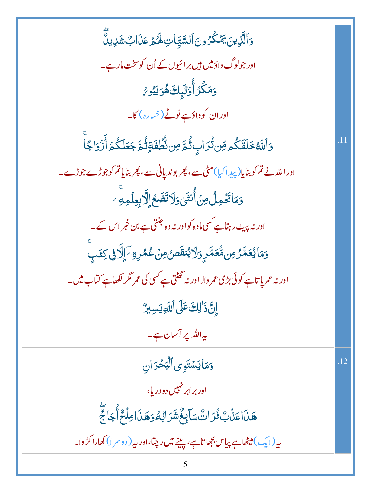<u>و</u>َٱلَّذِينَ يَمۡكُرُونَ ٱلسَّيَّاتِ لَهُمۡ عَذَابٌ شَٰٓدِينَّ اور جولوگ داؤمیں ہیں بر ائیوں کے اُن کوسخ**ت ما**ر ہے۔ وَمَكْرُ أُوۡلَٰٓبِكَ هُوَيۡبُو مُ اور ان کو داؤہے ٹوٹے (خیارہ) کا۔ <u>و</u>َٱللَّهُ خَلَقَكُم مِّن تُرَابِ ثُمَّ مِن نُّطِفَةٍ تُٰمَّ جَعَلَكُمۡ أَزۡوَاجَاۚ اور اللہ نے تم کو بنایا( پید اکیا)مٹی سے، پھر بوندیانی سے، پھر بنایاتم کوجوڑے جوڑے۔ 5مَاتَّخُمِلُ مِنۡ أُنثَىٰ وَلَاتَضَعُۚ إِلَّا بِعِلۡمِهِ اور نہ پیٹ رہتاہے کسی مادہ کواور نہ وہ جنتی ہے بن خبر اس کے۔ <sub>و</sub>َمَايُعَمَّرُ مِن**مُّعَمَّرٍ <sub>وَ</sub>لَايُنقَص**ُمِنۡ عُمُرِةِۦٓٳِلَّا فِى كِتَبۡ ۚ اور نہ عمریا تاہے کوئی بڑی عمر والا اور نہ تھٹتی ہے کسی کی عمر مگر لکھاہے کتاب میں۔ إِنَّ ذَٰ لِكَ عَلَى ٱللَّهِ يَسِبِرُّ بہ اللہ پر آسان ہے۔ وَمَايَسْتَوِي ٱلْبَحْرَانِ  $.12$ اور بر ابر نہیں دو دریا، ۿٙۨۮؘٳۼۯ۬ٙٮؚ۠۠ۮؙۯٳٮۘ۠ؾۢۺؘٳٙؠؚڂۘۘ۠ۺؘۯٳؠ۠ڡؗ۠ۏؘۿۮؘٳڡؚڶٙػۭٲؙٛڿٳؘڿۭۜٞ بیر (ایک) میٹھاہے پیاس بجھا تاہے، پینے میں رچتا،اور بیر ( دوسر ا) کھاراکڑ وا۔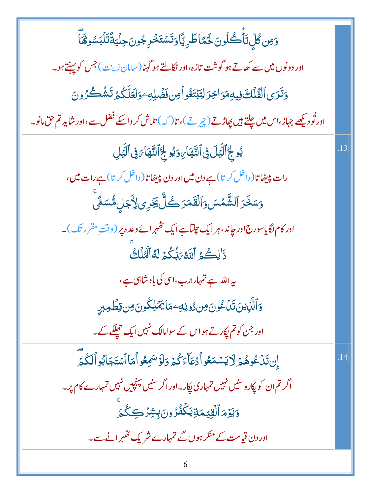<u>وَ</u>مِن گُلِّ تَأْكُلُونَ لَحَمَّاطَرِيَّا وَتَسْتَخْرِجُونَ حِلْيَةَّتَلْبَسُوْهََا اور دونوں میں سے کھاتے ہو گوشت تازہ،اور نکالتے ہو گہنا(سامان زینت) جس کو پہنتے ہو۔ <u>وَتَرَى ٱلْفُلْكَ فِيهِ</u>مَوَاخِرَ لِتَبْتَغُواْمِن فَضُلِهِ وَلَعَلَّكُمْ تَشُكُرُونَ اور تُو دیکھے جہاز ،اس میں چلتے ہیں پھاڑتے (چرتے )، تا ( کہ ) تلاش کر واسکے فضل سے ،اور شاید تم حق مانو۔ يُو لِجُ ٱلَّيَٰٓلَ فِى ٱلتَّهَارِ، وَيُو لِجُ ٱلتَّهَا مَنِى ٱلَّيَٰٓلِ .13 رات پیپٹھا تا( داخل کر تا) ہے دن میں اور دن پیپٹھا تا( داخل کر تا) ہے رات میں، وَسَخَّرَ ٱلشَّمۡسَ وَٱلۡقَمَرَ كُلُّ يَجۡرِى لِأَجَلِ مُّسَمَّى اور کام لگایاسورج اور جاند، ہر ایک جلتاہے ایک کھُہر ائے دعدہ پر (وقتِ مقررتک)۔ ذَٰ لِكُمُ ٱللَّهُ مَنُّكُمۡ لَهُ ٱلۡهُٰلَٰكُ ىيەاللە سے تمہارارب،اسى كى بادىشاہى ہے، <u>و</u>َٱلَّذِينَ تَنۡعُونَ مِن دُونِهِۦ مَا يَمۡلِكُونَ مِن قِطۡمِيرِ اور جن کو تم ایکار تے ہواس کے سوامالک نہیں ایک حھلکے کے۔ إِن تَدۡكُوهُمۡ لَا يَسۡمَعُواۡكُمَآءَكُمۡ وَلَوۡسَمِعُواۡهَا ٱسۡتَجَابُواۡكُمَّ  $.14$ اگر تم ان کو پکارو سنیں نہیں تمہاری پکار۔اور اگر سنیں پہنچیں نہیں تمہارے کام پر۔ <u>وَيَوۡ</u>مَ ٱلۡقِيۡمَةِیَکُفُرُونَ بِشِرۡڪِکُمۡ اور دن قیامت کے منکر ہوں گے تمہارے شر یک کٹھہر انے سے۔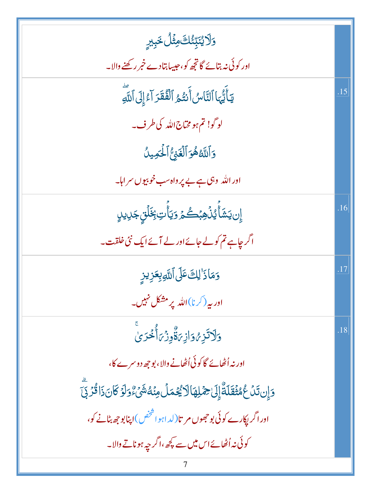| <b>وَلَايُنَبِّئُكَ مِثْلُ خَبِبرِ</b>                                                                 |     |
|--------------------------------------------------------------------------------------------------------|-----|
| اور کوئی نہ بتائے گا تجھ کو،حبیبابتادے خبر رکھنے والا۔                                                 |     |
| يَأَيُّهَا ٱلنَّاسُ أَنتُمُ ٱلْفُقَرَ آءُ إِلَى ٱللَّهِ                                                | .15 |
| لوگو! تم ہو مخاج اللہ کی طرف۔                                                                          |     |
| وَاللَّهُ هُوَ الْغَنِيُّ الْحَمِيلُ                                                                   |     |
| اور الله  وہی ہے بے پر واہ سب خوبیوں سر اہا۔                                                           |     |
| ٳؚۣڹؾؘۺؘٲۢٞؽۮؙٙۿؚڹٛڴؽٙۯؾٲۢۘؾؚۼؘؚڶۘٙٛۊ۪ڿؘڸؠڸۣ                                                           | .16 |
| اگر چاہے تم کولے جائے اور لے آئے ایک نئی خلقت۔                                                         |     |
| وَمَاذَ ٰلِكَ عَلَى ٱللَّهِ بِعَزِيزِ                                                                  | .17 |
| اور بہ (کرنا)اللہ پر مشکل نہیں۔                                                                        |     |
| <u>وَلَاتَزِهُوَ</u> ازِيَةٌوِزُيَٱنَجُرَىٰ                                                            |     |
| اور نہ اُٹھائے گا کوئی اُٹھانے والا، بوجھ دوسرے کا،                                                    |     |
| <u>وَ</u> إِن تَنۡ عُمُثۡقَلَةٌ إِلَىٰ حِمۡلِهَالَا يُعۡمَلۡ مِنۡهُ شَىۡءٌ وَلَوۡ كَانَ ذَاقُرۡ بِّیَ  |     |
| اور اگر پکارے کوئی بو جھوں مر تا $(\iota \downarrow \circ \mathring{\mathbb{F}})$ اپنا بو جھ بٹانے کو، |     |
| کوئی نہ اُٹھائے اس میں سے پچھ،اگر چہ ہو ناتے والا۔                                                     |     |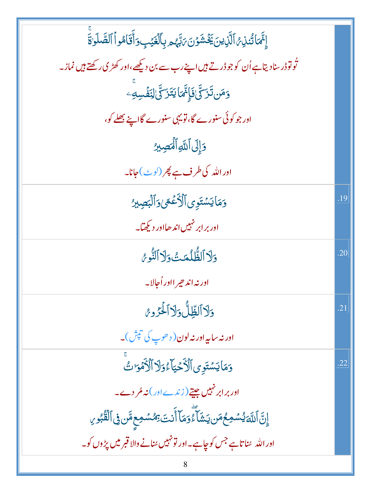| إِنَّمَا تُنذِ ثَالَّذِينَ يَخْشَوْنَ يَبْهُم بِٱلْغَيْبِ وَأَقَامُواْ ٱلصَّلَوٰةَ  |     |
|-------------------------------------------------------------------------------------|-----|
| تُولوْ ڈرسنادیتاہے اُن کو جو ڈرتے ہیں اپنے رب سے بن دیکھے ،اور کھڑی رکھتے ہیں نماز۔ |     |
| <mark>وَمَن تَزَكَّىٰ فَإِنَّمَا</mark> يَتَزَكَّىٰ لِنَفُسِهِ ۖ                    |     |
| اور جو کوئی سنورے گا، تو یہی سنورے گااپنے بھلے کو،                                  |     |
| دَإِلَى اللَّهِ ٱلْمَصِيرُ                                                          |     |
| اور اللہ کی <i>طر</i> ف ہے پھر (لوٹ)حانا۔                                           |     |
| وَمَايَسْتَوِي ٱلْأَعْجَىٰوَٱلْبَصِيرُ                                              | .19 |
| اور برابر نہیں اند ھااور دیکھیا۔                                                    |     |
| وَلَا ٱلظُّلُمَتُ وَلَا ٱلنُّوعُ                                                    | .20 |
| اور نه اند چیر ااور اُجالا۔                                                         |     |
| دَلاالظلُّ دَلاآلۡكِرُوعُ                                                           | .21 |
| اور نه سایه اور نه لون( د هوپ کی تپش)۔                                              |     |
| وَمَايَسْتَوِىٱلْأَحْيَآءُوَلَآالۡأَمۡوَاتُ                                         | .22 |
| اور برابر نہیں جیتے ( زندے اور ) نہ مُر دے۔                                         |     |
| ٳۣڹؖٞٲڷڶؘٲؽ۠ۺۘٙڡؚڂٛڡؘڹڮۺؘٲؖۦٚٛۏڡؘٵٚٲٞڹؾۥؚٙڞۺڡؚۼڡؓڹ؋ۣ۩ڷڨ۠ڹ۠ۅۑ                        |     |
| اور الله سناتاہے جس کوچاہے۔اور تو نہیں سنانے والا قبر میں پڑوں کو۔                  |     |
|                                                                                     |     |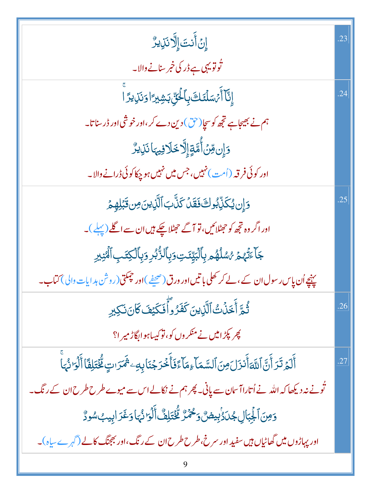| ٳڹٙٲؘڹؾؘٳ۪ٳؖۮڹؘڶؚۣؠڒ۠                                                                                          | .23 |
|----------------------------------------------------------------------------------------------------------------|-----|
| تُوتو يہ <u>ی ہے ڈر</u> کی خبر سنانے والا۔                                                                     |     |
| ٳڹ۠ۜٲٲٛ؍ٛڛؘڶٮۘٙٙڬ؋ۣٲڂۘ۬ڹؚٙٚڹڜؾٵۏؘٮؘ۬ڕؚٛۑۯؖٵؖ                                                                   | .24 |
| ہم نے بھیجاہے تجھ کو سچا(حق) دین دے کر،اور خوشی اور ڈر سناتا۔                                                  |     |
| <u>وَإِن مِّنۡ</u> أُمَّةٍإِلَّا خَلَا فِيهَا نَذِيرٌ                                                          |     |
| اور کوئی فرقہ (اُمت) نہیں، جس میں نہیں ہو چکاکوئی ڈرانے والا۔                                                  |     |
| وَإِن يُكَزِّبُوكَ فَقَدَ كَذَّبَ ٱلَّذِينَ مِن قَبَلِهِمْ                                                     | .25 |
| اور اگر وہ تجھ کو حٖمٹلائیں، تو آ گے حجٹلا چکے ہیں ان سے اگلے (پہلے )۔                                         |     |
| <b>ڮ</b> ݴٷٙۛؠٕ۠ٛۿٙ <i>؇ۺ</i> ڷۿ۠ۄڔؚٲڷڹؾۣڡٙؾؚۅؘڔؚٲڵڗ۠ٛڹ۠ڔؚۅؘڔؚٲڷڮ <i>ۘڎ</i> ؠؚٲڷ <i>ٞؿ</i> ڹڔ                  |     |
| پنیچے اُن پاِس رسول ان کے ،لے کر کھلی با تیں اور ورق(صحیفے )اور چمکتی(روشن ہد ایات دالی) کتاب۔                 |     |
| ۛ<br>ثُمَّ أَخَنُتُ الَّذِينَ كَفَرُواًّ فَكَيْفَ كَانَ نَكِيرِ                                                | .26 |
| پھر پکڑامیں نے منکروں کو،نوکیساہوابگاڑمیرا؟                                                                    |     |
| أَلَمۡ تَرَأَنَّ ٱللَّهَأَنزَلَ مِنَ ٱلسَّمَآءِمَآءَۚ فَأَخۡرَجۡنَابِهِۦ ثَمَرَاتٍ مُّخۡتَلِفَاۤ أَلۡوَانُهَاْ | .27 |
| تُونے نہ دیکھا کہ اللہ نے اُتاراآ سان سے پانی۔ پھر ہم نے نکالے اس سے میوے طرح طرح ان کے رنگ۔                   |     |
| وَمِنَ ٱلْجِبَالِ جُدَدُٰنِيضٌ وَحُمۡرٌ لِّخۡتَلِفٌّ أَلۡوَا نُّہَا وَغَرَ ابِيبُ سُودٌ                        |     |
| اور پہاڑوں میں گھاٹیاں ہیں سفید اور سرخ،طرح طرح ان کے رنگ،اور بھجنگ کالے (گہرے ساہ)۔                           |     |
|                                                                                                                |     |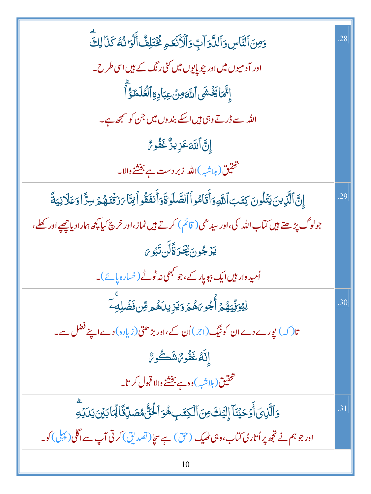| وَمِنَ ٱلنَّاسِ وَٱلدَّوَآبِّ وَٱلۡكَنۡعَمِ فُتۡتَلِفٌّ أَلۡوَا نُهُ كَذَآ لِكَ                                          | .28 |
|--------------------------------------------------------------------------------------------------------------------------|-----|
| اور آدمیوں میں اور چوپایوں میں ک <sup>ی</sup> ں رنگ کے <del>ہ</del> یں اسی طرح۔                                          |     |
| ٳ۪ۥٚ۠ۜٞٙۜٙٙٞۿٵڲؘ۬ۺؘٛ۩ڷڷؘۊۺۘ؏ڹٵۮؚۣۊؚٱڶۼڶۿٙٷٝٲؖ                                                                            |     |
| اللہ سے ڈرتے وہی <b>ہیں اسکے بند وں میں جن کو سمجھ ہے۔</b>                                                               |     |
| ٳۣڹؖٞٳٙڷڶڶۜۊعؘڒٟؽڒۘ۠ۼؘڡؙ۠ٛۅ؆                                                                                             |     |
| تحقیق(بلاشبه)الله زبر دست ہے بخشے والا۔                                                                                  |     |
| إِنَّ ٱلَّذِينَ يَتُلُونَ كِتَبَ ٱللَّهِ وَأَقَامُواْ ٱلصَّلَوٰاةَ وَأَنفَقُواْ لِمَّا يَرْقُدَهُمْ سِرَّا وَعَلَانِيَةً | .29 |
| جولوگ پڑھتے ہیں کتاب اللہ کی،اور سیدھی( قائم) کرتے ہیں نماز،اور خرچ کیا پچھ ہمارادیاچھپے اور کھلے،                       |     |
| ؾؘۯٙڿۅڹٙؾؚٚڂڗۊ۠ٙڵؖڹؾٞٶ؆                                                                                                  |     |
| اُمید دار ہیں ایک بیویار کے ،جو کبھی نہ ٹوٹے (خیارہ پائے)۔                                                               |     |
| <sup>ۣ</sup> ڵؚؽۏۜڵۣٙؾۿ۠ؽٙٲؙ۠۫ٙؖڿ۠ۅ <i>؆ۿ۠ؽؘ</i> ؋ؘؾۯۣۑڹٲۿ۠ۄڡؚۜڹ؋ؘڞؙڸ <sup>؈ۜ</sup>                                      | .30 |
| تا( کہ) پورے دےان کو نیگ( اجر)اُن کے،اور بڑھتی(زیادہ) دےاپنے فضل سے۔                                                     |     |
| ٳڹؙۜڷڡ۠ڬؘڡٛ۠۬ۅ؆ۺؘڴۅ؆                                                                                                     |     |
| تحقيق(بلاشبه)وہ ہے بخشنے والا قبول کرتا۔                                                                                 |     |
| وَٱلَّذِىٓ أَوۡ حَيۡنَآ إِلَيَكَ مِنَ ٱلۡكِتَبِ هُوَ ٱلۡخُنُّ مُصَدِّقَالِّمَا بَيۡنَ يَدَيۡهِ                           | .31 |
| اور جو ہم نے تجھ پر اُتاری کتاب،وہی ٹھیک (حق) ہے سچا( تصدیق) کرتی آپ سے اگلی( پہلی ) کو۔                                 |     |
| 10                                                                                                                       |     |

٠.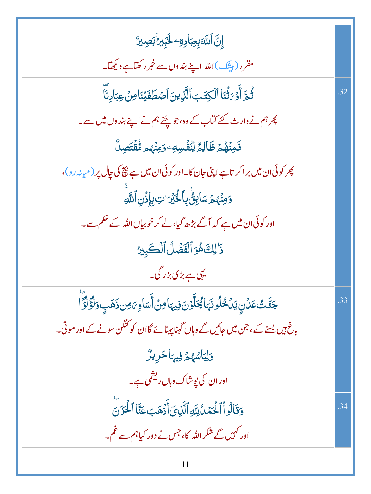| ٳۣڷ <i>ۜ</i> ٲڵڶ <i>ڐڹؚۼ</i> ؚڹٲۮؚؚۊ <sup>ۣ</sup> ۦڂٓۑؚٙڹۯ <sup>ٲ</sup> ڹڝؚڹڒ۠           |     |
|------------------------------------------------------------------------------------------|-----|
| مقرر (بیثک)الله اپنے بندوں سے خمر رکھتاہے دیکھتا۔                                        |     |
| ثُمَّ أَوۡ رَثۡنَا ٱلۡكِتَبَ ٱلَّٰٓذِينَ ٱصۡطَفَيۡنَاۚ مِنۡ عِبَادِنَا                   | 32  |
| پھر ہم نے وارث کئے کیاب کے وہ،جو پچنے ہم نے اپنے بند وں میں سے۔                          |     |
| ڣؘڣؠ۠ۿۄ۫ڟؘٳڸۄ۠ڵؚڹؘۨڡٛ۫ڛ <mark>ڮٷڡؚڹؙؠ۠ۄۿۨ۠ڨؗ<sup>ٞ</sup>ؾؘڝؚ</mark> ڵۘ۠                  |     |
| پھر کوئی ان میں براکر تاہے اپنی جان کا۔اور کوئی ان میں ہے پچ کی جال پر (میانہ رو)،       |     |
| وَمِنۡهُمۡ سَاٰبِنُۢ بِٱلۡلَٰٓيۡرَ'تِ بِإِذۡنِ ٱللَّهِ                                   |     |
| اور کوئی ان میں ہے کہ آگے بڑھ گیا، لے کر خوبیاں اللہ کے حکم سے۔                          |     |
| ذَٰ لِكَ هُوَ ٱلْفَضَلُ ٱلْكَبِيرُ                                                       |     |
| یہی ہے بڑی بزر گی۔                                                                       |     |
| جَنَّتْ عَلَىٰ يَلۡ خُلُونَهَا يُحَلَّوۡنَ فِيهَا مِنۡ أَسَاوِىَ مِن ذَهَبٍ وَلَؤُلُؤَ ا | .33 |
| باغ ہیں یسے کے، جن میں جائیں گے وہاں گہنا پہنائے گاان کو کنگن سونے کے اور موتی۔          |     |
| وَلِبَاسُهُمْ فِيهَا حَرِيرٌ                                                             |     |
| اور ان کی یوشاک وہاں ریشمی ہے۔                                                           |     |
| وَقَالُواْ ٱلْحَمَّدُ لِلَّهِ ٱلَّذِىَ أَذَهَبَ عَنَّا ٱلْحَرَنَ                         | .34 |
| اور کہیں گے شکر اللہ کا، جس نے دور کیاہم سے غم۔                                          |     |
| 11                                                                                       |     |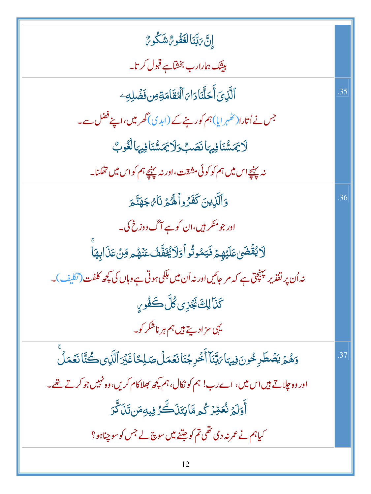| ٳڹٙٞ؆ڹَڹؘٵڶڠڡؘ۠ۅ؆ۺؘػۢۅ؆                                                                             |     |
|-----------------------------------------------------------------------------------------------------|-----|
| بیثک ہم <i>ارار</i> ب بخشاہے قبول کر تا۔                                                            |     |
| ٱلَّذِىٓ أَحَلَّنَادَاهَ ٱلۡعَقَامَةِ مِن فَضَٰلِهِۦ                                                | .35 |
| جس نے اُتارا( کھُہر ایا)ہم کورہنے کے (ابدی)گھر میں،اپنے فضل سے۔                                     |     |
| لَايَمَسُّنَافِيهَانَصَبُّوَلَايَمَسُّنَافِيهَالْغُوبُ                                              |     |
| نہ پہنچے اس میں ہم کو کو ئی مشقت،اور نہ پہنچے ہم کواس میں تھکنا۔                                    |     |
| وَٱلَّٰٓنِينَ كَفَّرُواۡكُمۡ نَآءُ جَهَنَّعَ                                                        | .36 |
| اور جو منکر ہیں،ان کو ہے آگ دوزخ کی۔                                                                |     |
| ڷٲؽؗڠٙ۫ڞؘؽ؏ؘڶؽٙۿ۪ؽٙ؋ؘؾڡ۠ۅڐ۠ۅٲۅؘڶٲؽ۠ۼؘڡٞۨٞڡٛۢػٮؘٛۿ۠ۄڡؚۨڽؘ؏ؘۮؘٳؠۿؘٳ                                   |     |
| نہ اُن پر نقذیر پہنچق ہے کہ مر جائیں اور نہ اُن میں ہلکی ہو تی ہے وہاں کی کچھ کلفت (نکلیف)۔         |     |
| <b>كَنَا لِكَ نَجْزِى كُلَّ كَفُورِ،</b>                                                            |     |
| یہی سزادیتے ہیں ہم ہر ناشکر کو۔                                                                     |     |
| وَهُمَّ يَصَطَرِ خُونَ فِيهَا بَيِّنَآ أَخْرِ جُنَا نَعَمَلُ صَلِحًا غَيْرَ ٱلَّذِى كُنَّا نَعَمَلُ | .37 |
| اور وہ چلاتے ہیں اس میں، اے رب! ہم کو نکال،ہم کچھ بھلاکام کریں،وہ نہیں جو کرتے تھے۔                 |     |
| <u>ٲٝۅؘڶؠ</u> ٙٛۯ۬ڠۊ <i>ؚڒ</i> ؙػ۠ۄۿٵؾؘڹؘڷڴؖۯڣۣۑٶؚڡؘڹڗؘڎۜڗ                                          |     |
| کیاہم نے عمر نہ دی تھی تم کو جتنے میں سوچ لے جس کو سو چناہو؟                                        |     |
| 12                                                                                                  |     |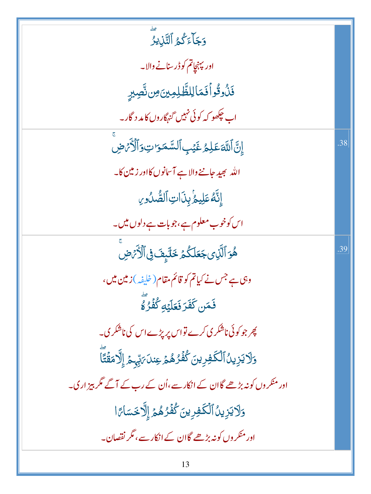| ڡٙٳ<br><b>دَجَ</b> ٲۦۧػ۠ۿؚٱڶٿۜڶ۪ؠۯ۠                                        |     |
|----------------------------------------------------------------------------|-----|
| اور پېنچاتم کو ڈرسنانے والا۔                                               |     |
| فَذُوقُواْفَمَالِلظَّلِمِينَ مِن نَّصِيرٍ                                  |     |
| اب چڪھو کہ کوئی نہيں گنہگاروں کامد د گار۔                                  |     |
| إِنَّ اللَّهَ عَلِمُ غَيْبِ ٱلسَّمَرَاتِ وَٱلْأَمَّ ضِ                     | .38 |
| الله بھید جاننے والاہے آسانوں کااور زمین کا۔                               |     |
| إِنَّهُ عَلِيهُ بِذَاتِ الصُّدُورِ                                         |     |
| اس کوخوب معلوم ہے،جوبات ہے دلوں میں۔                                       |     |
| هُوَ ٱلَّذِى جَعَلَكُمۡ خَلَيۡفَ فِى ٱلۡأَرۡمَضِ                           | .39 |
| وہی ہے جس نے کیاتم کو قائم مقام ( خلیفہ )زمین میں،                         |     |
| فَمَن كَفَرَ فَعَلَيْهِ كُفُرُهُ                                           |     |
| پھر جو کوئی ناشکر <sub>کی</sub> کرے تواس پر پڑے اس کی ناشکر <sub>گ</sub> ۔ |     |
| وَلَا يَزِينُ ٱلْكَفِرِينَ كُفُرُهُمْ عِندَىَتِهِمْ إِلَّامَقُتًا          |     |
| اور منکر وں کو نہ بڑھے گاان کے انکار سے،اُن کے رب کے آگے مگر بیز اری۔      |     |
| وَلَايَزِينُ ٱلْكَفِرِينَ كُفِّرُهُمْ إِلَّا خَسَاءًا                      |     |
| اور منکر وں کو نہ بڑھے گاان کے انکار سے، مگر نقصان۔                        |     |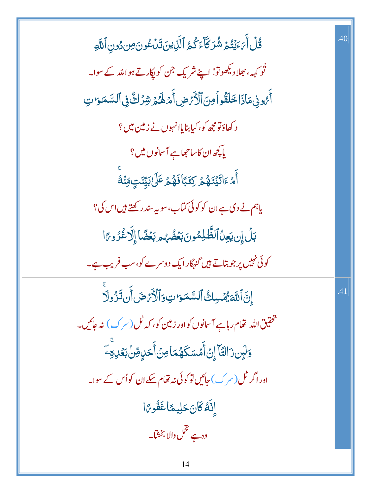| <u>ػٛڶٙ</u> ٲؘ <i>ڹ</i> ؘءَؽ <sup>ٙ</sup> ؾ۠ۮ؆ۺ۠ۯڬۜٲءؘػ۠ۿٵؖڵؖڷؚٳؽڹؘڗؘڹڷػ۫ۅڹؘڝؚؽ۠ۅڹۣٱڵڷ <sub>ٙ</sub> ۅ | .40 |
|-------------------------------------------------------------------------------------------------------|-----|
| ٹو <sub>ک</sub> ہہ، بھلادیکھوتو! اپنے شریک <sup>جن</sup> کوپکارتے ہواللہ کے سوا۔                      |     |
| أَمُونِى مَاذَا خَلَقُواً مِنَ ٱلْأَمَ ضِ أَمَرْ لَهُمْ شِرُكٌّ فِى ٱلسَّمَرَاتِ                      |     |
| د کھاؤتو مجھ کو، کیا بنایاانہوں نے <mark>زمین می</mark> ں؟                                            |     |
| یا پچھ ان کاساحھاہے آسانوں میں ؟                                                                      |     |
| ٲٛ <i>ٙ؞ۧ</i> ٵؘؾ <i>ٙؽٙۿ؞ٝ</i> ؚػؚؾؘٵؘڡؘۿ؞ؚۧػٙڸ <i>ٙ</i> ڹێۣٮٙؾٟڡۣۨڹ۫ <sup>ڡۨ</sup>                  |     |
| یاہم نے دی ہے ان کو کوئی کتاب،سوپہ سندر کھتے ہیں اس کی؟                                               |     |
| بَلۡ إِن يَعِنُ ٱلظَّٰلِمُونَ بَعۡضُهُم بَعۡضًا إِلَّا غُرُوعًا                                       |     |
| کوئی نہیں پر جو بتاتے ہیں گنہگار ایک دوسرے کو،سب فریب ہے۔                                             |     |
| إِنَّ اللَّهَ يُهۡسِكُ السَّمَرَ تِ وَٱلۡأَرۡهَضَ أَن تَزُولَا                                        | .41 |
| تحقیق <sub>اللّٰہ</sub> تھام رہاہے آ <sup>س</sup> انوں کواور زمین کو، کہ ٹل(سر ک) نہ جائیں۔           |     |
| <u>ۅٙ</u> ڶؠٟۜڹۯٵڶؾؐٵۧٳؚڹٙٲۧمۡسَكَۿؙڡؘٵ <i>ڢڹ</i> ٲۜڂڸٟۊڹ <i>ڹڂ</i> ڸٷۜۦۜ                             |     |
| اور اگر ٹل (سر ک) جائیں تو کوئی نہ تھام سکے ان کواُس کے سوا۔                                          |     |
| إِنَّهُ كَانَ حَلِيعًا غَفُوجًا                                                                       |     |
| وہ ہے تخمل والا بخشا۔                                                                                 |     |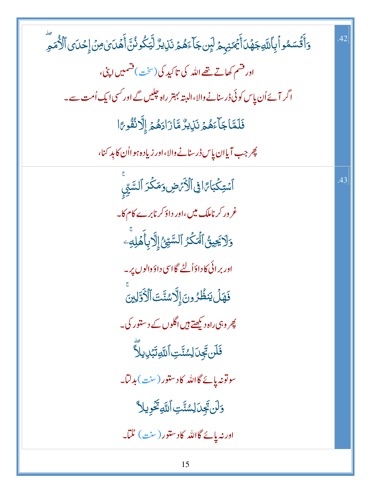| <u>ۅٙ</u> ٲؘٛٞڐۘٞۺڡ۠ۅٲۛۑؚٲڵ <i>ڐؼڿۿؘ</i> ڶٲؘؗڲؘڡ <i>ٙڹ</i> ؠؚؿ؋ڶؠٟۜڹڿٲٷۿؿ؋ٮؘٚڸؽڒ۠ڶؾػۢۅۮؙڹؓٲۜۿؘٮؘێ؋ڽٙٳۣڂٮؘؽٲڷؙڒٛ۠ۿۿؚؖ | .42 |
|----------------------------------------------------------------------------------------------------------------------|-----|
| اور قشم کھاتے تھے اللہ کی تاکید کی (سخت)قشمیں اپنی،                                                                  |     |
| اگر آئے اُن پاِس کوئی ڈرسنانے والا،البتہ بہتر راہ چلیں گے اور کسی ایک اُمت سے۔                                       |     |
| فَلَمَّاجَاًءَهُمَّ نَذِيزٌ مَّازَادَهُمْ إِلَّانُفُوءَا                                                             |     |
| پھر جب آیاان پاس ڈرسنانے والا،اور زیادہ ہو ااُن کا بد کنا،                                                           |     |
| ٱسۡتِكۡبَاءَافِىٱلۡكَٰٓءَضِ وَمَكۡدَ ٱلسَّيِّى                                                                       | .43 |
| غر ور کر ناملک میں،اور داؤ کرنابرے کام کا۔                                                                           |     |
| <u>و</u> َلَايَحِيقُ ٱلۡمَكۡرُ ٱلسَّيِّئُۚ إِلَّا بِأَهۡلِهِۦ                                                        |     |
| اور برائی کا داؤاُلٹے گااسی داؤ دالوں پر۔                                                                            |     |
| فَهَلَ يَنظُرُونَ إِلَّاسُنَّتَ ٱلْأَوَّلِينَ                                                                        |     |
| پھر وہی راہ دیکھتے <del>ہ</del> یں اگلوں کے دستور کی۔                                                                |     |
| <b>فَلَن تَجِنَ لِسُنَّتِ السَّوَتَبُ</b> لِ يلَّا                                                                   |     |
| سوتونەيائے گااللہ كادستور (سنت)بدلتا۔                                                                                |     |
| وَلَن تَجِدَ لِسُنَّتِ أَللَّهِ تَحُوِيلاً                                                                           |     |
| اور نہ پائے گااللہ کادستور (سنت) ٹلتا۔                                                                               |     |